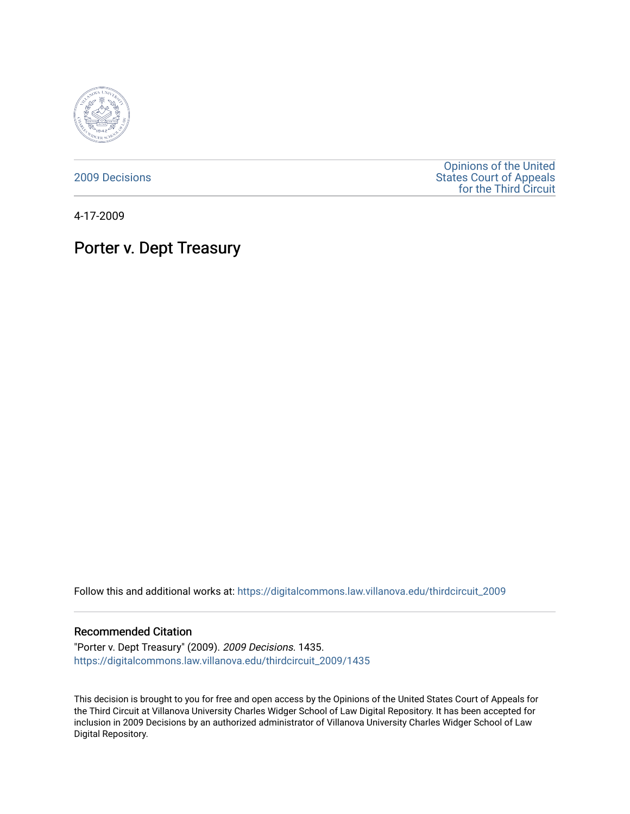

[2009 Decisions](https://digitalcommons.law.villanova.edu/thirdcircuit_2009)

[Opinions of the United](https://digitalcommons.law.villanova.edu/thirdcircuit)  [States Court of Appeals](https://digitalcommons.law.villanova.edu/thirdcircuit)  [for the Third Circuit](https://digitalcommons.law.villanova.edu/thirdcircuit) 

4-17-2009

# Porter v. Dept Treasury

Follow this and additional works at: [https://digitalcommons.law.villanova.edu/thirdcircuit\\_2009](https://digitalcommons.law.villanova.edu/thirdcircuit_2009?utm_source=digitalcommons.law.villanova.edu%2Fthirdcircuit_2009%2F1435&utm_medium=PDF&utm_campaign=PDFCoverPages) 

## Recommended Citation

"Porter v. Dept Treasury" (2009). 2009 Decisions. 1435. [https://digitalcommons.law.villanova.edu/thirdcircuit\\_2009/1435](https://digitalcommons.law.villanova.edu/thirdcircuit_2009/1435?utm_source=digitalcommons.law.villanova.edu%2Fthirdcircuit_2009%2F1435&utm_medium=PDF&utm_campaign=PDFCoverPages) 

This decision is brought to you for free and open access by the Opinions of the United States Court of Appeals for the Third Circuit at Villanova University Charles Widger School of Law Digital Repository. It has been accepted for inclusion in 2009 Decisions by an authorized administrator of Villanova University Charles Widger School of Law Digital Repository.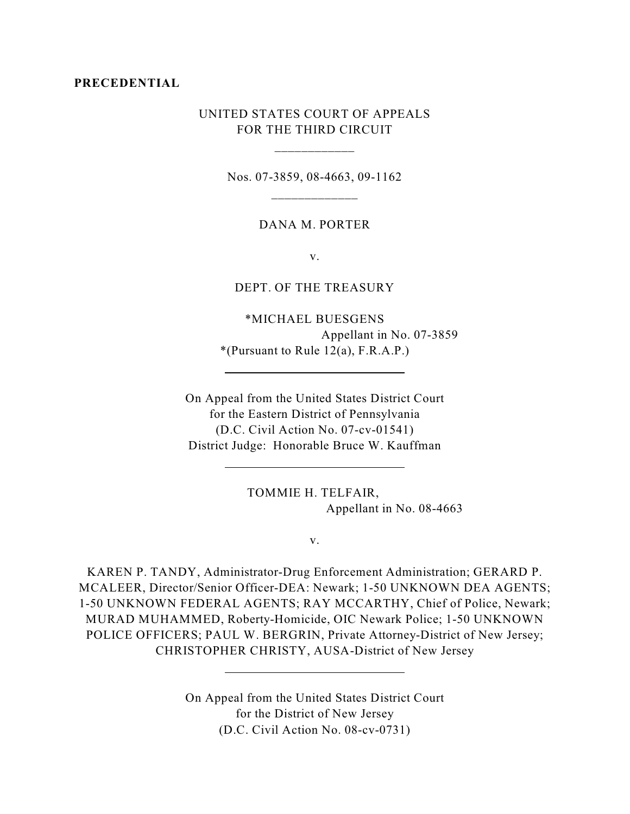#### **PRECEDENTIAL**

## UNITED STATES COURT OF APPEALS FOR THE THIRD CIRCUIT

\_\_\_\_\_\_\_\_\_\_\_\_

Nos. 07-3859, 08-4663, 09-1162 \_\_\_\_\_\_\_\_\_\_\_\_\_

## DANA M. PORTER

v.

## DEPT. OF THE TREASURY

\*MICHAEL BUESGENS Appellant in No. 07-3859  $*(Pursuant to Rule 12(a), F.R.A.P.)$ 

On Appeal from the United States District Court for the Eastern District of Pennsylvania (D.C. Civil Action No. 07-cv-01541) District Judge: Honorable Bruce W. Kauffman

 $\overline{a}$ 

 $\overline{a}$ 

 $\overline{a}$ 

TOMMIE H. TELFAIR, Appellant in No. 08-4663

v.

KAREN P. TANDY, Administrator-Drug Enforcement Administration; GERARD P. MCALEER, Director/Senior Officer-DEA: Newark; 1-50 UNKNOWN DEA AGENTS; 1-50 UNKNOWN FEDERAL AGENTS; RAY MCCARTHY, Chief of Police, Newark; MURAD MUHAMMED, Roberty-Homicide, OIC Newark Police; 1-50 UNKNOWN POLICE OFFICERS; PAUL W. BERGRIN, Private Attorney-District of New Jersey; CHRISTOPHER CHRISTY, AUSA-District of New Jersey

> On Appeal from the United States District Court for the District of New Jersey (D.C. Civil Action No. 08-cv-0731)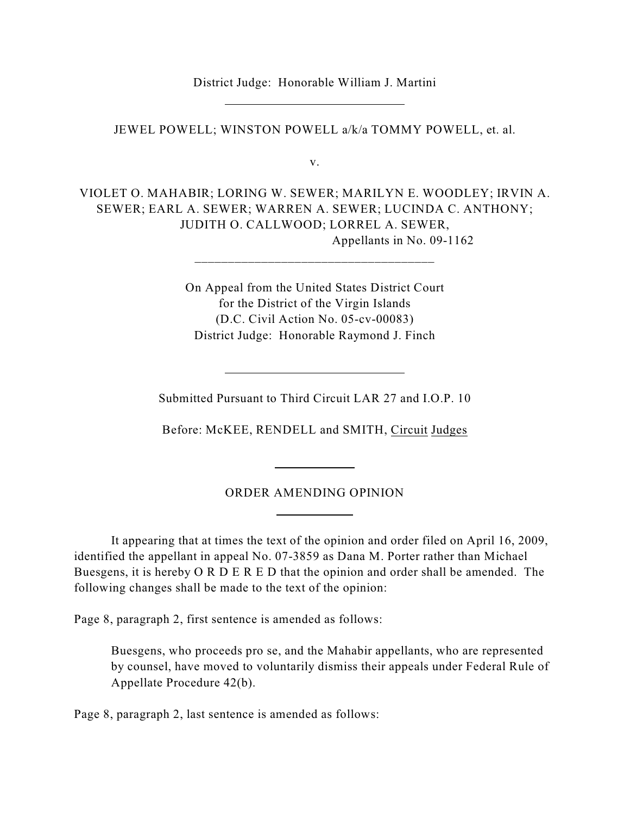District Judge: Honorable William J. Martini

 $\overline{a}$ 

JEWEL POWELL; WINSTON POWELL a/k/a TOMMY POWELL, et. al.

v.

VIOLET O. MAHABIR; LORING W. SEWER; MARILYN E. WOODLEY; IRVIN A. SEWER; EARL A. SEWER; WARREN A. SEWER; LUCINDA C. ANTHONY; JUDITH O. CALLWOOD; LORREL A. SEWER, Appellants in No. 09-1162

> On Appeal from the United States District Court for the District of the Virgin Islands (D.C. Civil Action No. 05-cv-00083) District Judge: Honorable Raymond J. Finch

Submitted Pursuant to Third Circuit LAR 27 and I.O.P. 10

Before: McKEE, RENDELL and SMITH, Circuit Judges

## ORDER AMENDING OPINION

 $\overline{a}$ 

 $\overline{a}$ 

It appearing that at times the text of the opinion and order filed on April 16, 2009, identified the appellant in appeal No. 07-3859 as Dana M. Porter rather than Michael Buesgens, it is hereby O R D E R E D that the opinion and order shall be amended. The following changes shall be made to the text of the opinion:

Page 8, paragraph 2, first sentence is amended as follows:

 $\overline{a}$ 

Buesgens, who proceeds pro se, and the Mahabir appellants, who are represented by counsel, have moved to voluntarily dismiss their appeals under Federal Rule of Appellate Procedure 42(b).

Page 8, paragraph 2, last sentence is amended as follows: